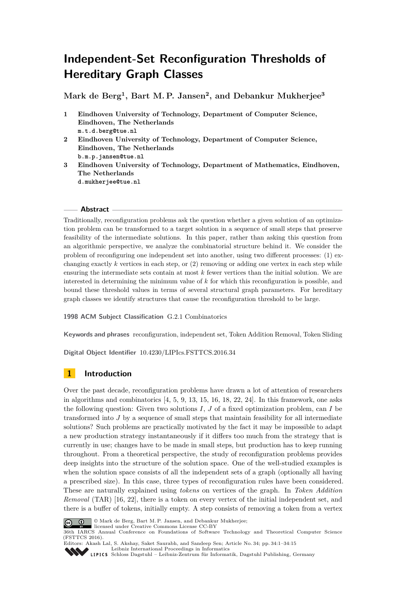# **Independent-Set Reconfiguration Thresholds of Hereditary Graph Classes**

**Mark de Berg<sup>1</sup> , Bart M. P. Jansen<sup>2</sup> , and Debankur Mukherjee<sup>3</sup>**

- **1 Eindhoven University of Technology, Department of Computer Science, Eindhoven, The Netherlands m.t.d.berg@tue.nl**
- **2 Eindhoven University of Technology, Department of Computer Science, Eindhoven, The Netherlands b.m.p.jansen@tue.nl**
- **3 Eindhoven University of Technology, Department of Mathematics, Eindhoven, The Netherlands d.mukherjee@tue.nl**

## **Abstract**

Traditionally, reconfiguration problems ask the question whether a given solution of an optimization problem can be transformed to a target solution in a sequence of small steps that preserve feasibility of the intermediate solutions. In this paper, rather than asking this question from an algorithmic perspective, we analyze the combinatorial structure behind it. We consider the problem of reconfiguring one independent set into another, using two different processes: (1) exchanging exactly  $k$  vertices in each step, or  $(2)$  removing or adding one vertex in each step while ensuring the intermediate sets contain at most *k* fewer vertices than the initial solution. We are interested in determining the minimum value of *k* for which this reconfiguration is possible, and bound these threshold values in terms of several structural graph parameters. For hereditary graph classes we identify structures that cause the reconfiguration threshold to be large.

**1998 ACM Subject Classification** G.2.1 Combinatorics

**Keywords and phrases** reconfiguration, independent set, Token Addition Removal, Token Sliding

**Digital Object Identifier** [10.4230/LIPIcs.FSTTCS.2016.34](http://dx.doi.org/10.4230/LIPIcs.FSTTCS.2016.34)

## **1 Introduction**

Over the past decade, reconfiguration problems have drawn a lot of attention of researchers in algorithms and combinatorics  $[4, 5, 9, 13, 15, 16, 18, 22, 24]$  $[4, 5, 9, 13, 15, 16, 18, 22, 24]$  $[4, 5, 9, 13, 15, 16, 18, 22, 24]$  $[4, 5, 9, 13, 15, 16, 18, 22, 24]$  $[4, 5, 9, 13, 15, 16, 18, 22, 24]$  $[4, 5, 9, 13, 15, 16, 18, 22, 24]$  $[4, 5, 9, 13, 15, 16, 18, 22, 24]$  $[4, 5, 9, 13, 15, 16, 18, 22, 24]$  $[4, 5, 9, 13, 15, 16, 18, 22, 24]$  $[4, 5, 9, 13, 15, 16, 18, 22, 24]$  $[4, 5, 9, 13, 15, 16, 18, 22, 24]$  $[4, 5, 9, 13, 15, 16, 18, 22, 24]$  $[4, 5, 9, 13, 15, 16, 18, 22, 24]$  $[4, 5, 9, 13, 15, 16, 18, 22, 24]$  $[4, 5, 9, 13, 15, 16, 18, 22, 24]$  $[4, 5, 9, 13, 15, 16, 18, 22, 24]$  $[4, 5, 9, 13, 15, 16, 18, 22, 24]$ . In this framework, one asks the following question: Given two solutions *I*, *J* of a fixed optimization problem, can *I* be transformed into *J* by a sequence of small steps that maintain feasibility for all intermediate solutions? Such problems are practically motivated by the fact it may be impossible to adapt a new production strategy instantaneously if it differs too much from the strategy that is currently in use; changes have to be made in small steps, but production has to keep running throughout. From a theoretical perspective, the study of reconfiguration problems provides deep insights into the structure of the solution space. One of the well-studied examples is when the solution space consists of all the independent sets of a graph (optionally all having a prescribed size). In this case, three types of reconfiguration rules have been considered. These are naturally explained using *tokens* on vertices of the graph. In *Token Addition Removal* (TAR) [\[16,](#page-13-5) [22\]](#page-14-1), there is a token on every vertex of the initial independent set, and there is a buffer of tokens, initially empty. A step consists of removing a token from a vertex



© Mark de Berg, Bart M. P. Jansen, and Debankur Mukherjee; licensed under Creative Commons License CC-BY

36th IARCS Annual Conference on Foundations of Software Technology and Theoretical Computer Science (FSTTCS 2016).



Editors: Akash Lal, S. Akshay, Saket Saurabh, and Sandeep Sen; Article No. 34; pp. 34:1–34[:15](#page-14-3) [Leibniz International Proceedings in Informatics](http://www.dagstuhl.de/lipics/)

[Schloss Dagstuhl – Leibniz-Zentrum für Informatik, Dagstuhl Publishing, Germany](http://www.dagstuhl.de)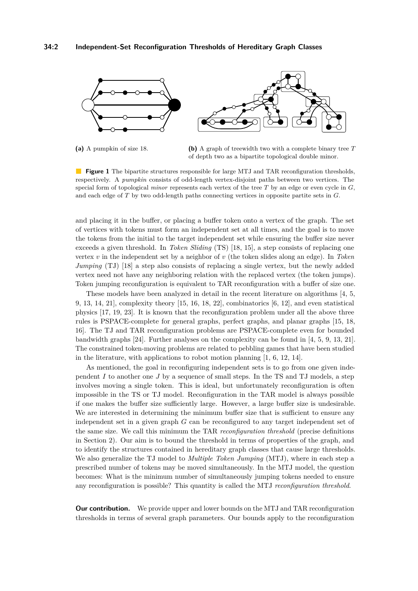<span id="page-1-0"></span>

**(a)** A pumpkin of size 18. **(b)** A graph of treewidth two with a complete binary tree *T* of depth two as a bipartite topological double minor.

**Figure 1** The bipartite structures responsible for large MTJ and TAR reconfiguration thresholds, respectively. A *pumpkin* consists of odd-length vertex-disjoint paths between two vertices. The special form of topological *minor* represents each vertex of the tree *T* by an edge or even cycle in *G*, and each edge of *T* by two odd-length paths connecting vertices in opposite partite sets in *G*.

and placing it in the buffer, or placing a buffer token onto a vertex of the graph. The set of vertices with tokens must form an independent set at all times, and the goal is to move the tokens from the initial to the target independent set while ensuring the buffer size never exceeds a given threshold. In *Token Sliding* (TS) [\[18,](#page-14-0) [15\]](#page-13-4), a step consists of replacing one vertex *v* in the independent set by a neighbor of *v* (the token slides along an edge). In *Token Jumping* (TJ) [\[18\]](#page-14-0) a step also consists of replacing a single vertex, but the newly added vertex need not have any neighboring relation with the replaced vertex (the token jumps). Token jumping reconfiguration is equivalent to TAR reconfiguration with a buffer of size one.

These models have been analyzed in detail in the recent literature on algorithms [\[4,](#page-13-0) [5,](#page-13-1) [9,](#page-13-2) [13,](#page-13-3) [14,](#page-13-6) [21\]](#page-14-4), complexity theory [\[15,](#page-13-4) [16,](#page-13-5) [18,](#page-14-0) [22\]](#page-14-1), combinatorics [\[6,](#page-13-7) [12\]](#page-13-8), and even statistical physics [\[17,](#page-14-5) [19,](#page-14-6) [23\]](#page-14-7). It is known that the reconfiguration problem under all the above three rules is PSPACE-complete for general graphs, perfect graphs, and planar graphs [\[15,](#page-13-4) [18,](#page-14-0) [16\]](#page-13-5). The TJ and TAR reconfiguration problems are PSPACE-complete even for bounded bandwidth graphs [\[24\]](#page-14-2). Further analyses on the complexity can be found in [\[4,](#page-13-0) [5,](#page-13-1) [9,](#page-13-2) [13,](#page-13-3) [21\]](#page-14-4). The constrained token-moving problems are related to pebbling games that have been studied in the literature, with applications to robot motion planning [\[1,](#page-13-9) [6,](#page-13-7) [12,](#page-13-8) [14\]](#page-13-6).

As mentioned, the goal in reconfiguring independent sets is to go from one given independent *I* to another one *J* by a sequence of small steps. In the TS and TJ models, a step involves moving a single token. This is ideal, but unfortunately reconfiguration is often impossible in the TS or TJ model. Reconfiguration in the TAR model is always possible if one makes the buffer size sufficiently large. However, a large buffer size is undesirable. We are interested in determining the minimum buffer size that is sufficient to ensure any independent set in a given graph *G* can be reconfigured to any target independent set of the same size. We call this minimum the TAR *reconfiguration threshold* (precise definitions in Section [2\)](#page-3-0). Our aim is to bound the threshold in terms of properties of the graph, and to identify the structures contained in hereditary graph classes that cause large thresholds. We also generalize the TJ model to *Multiple Token Jumping* (MTJ), where in each step a prescribed number of tokens may be moved simultaneously. In the MTJ model, the question becomes: What is the minimum number of simultaneously jumping tokens needed to ensure any reconfiguration is possible? This quantity is called the MTJ *reconfiguration threshold*.

**Our contribution.** We provide upper and lower bounds on the MTJ and TAR reconfiguration thresholds in terms of several graph parameters. Our bounds apply to the reconfiguration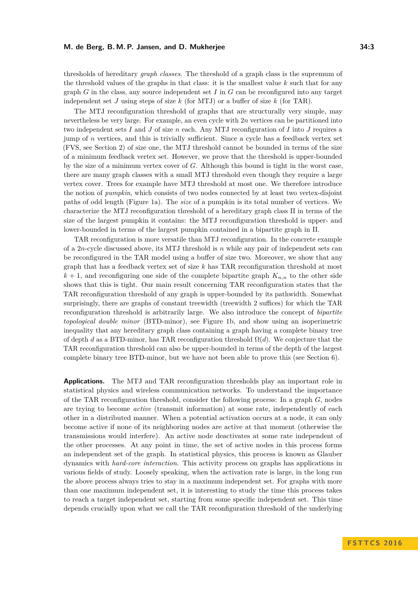thresholds of hereditary *graph classes*. The threshold of a graph class is the supremum of the threshold values of the graphs in that class: it is the smallest value *k* such that for any graph *G* in the class, any source independent set *I* in *G* can be reconfigured into any target independent set *J* using steps of size *k* (for MTJ) or a buffer of size *k* (for TAR).

The MTJ reconfiguration threshold of graphs that are structurally very simple, may nevertheless be very large. For example, an even cycle with 2*n* vertices can be partitioned into two independent sets *I* and *J* of size *n* each. Any MTJ reconfiguration of *I* into *J* requires a jump of *n* vertices, and this is trivially sufficient. Since a cycle has a feedback vertex set (FVS, see Section [2\)](#page-3-0) of size one, the MTJ threshold cannot be bounded in terms of the size of a minimum feedback vertex set. However, we prove that the threshold is upper-bounded by the size of a minimum vertex cover of *G*. Although this bound is tight in the worst case, there are many graph classes with a small MTJ threshold even though they require a large vertex cover. Trees for example have MTJ threshold at most one. We therefore introduce the notion of *pumpkin*, which consists of two nodes connected by at least two vertex-disjoint paths of odd length (Figure [1a\)](#page-1-0). The *size* of a pumpkin is its total number of vertices. We characterize the MTJ reconfiguration threshold of a hereditary graph class Π in terms of the size of the largest pumpkin it contains: the MTJ reconfiguration threshold is upper- and lower-bounded in terms of the largest pumpkin contained in a bipartite graph in Π.

TAR reconfiguration is more versatile than MTJ reconfiguration. In the concrete example of a 2*n*-cycle discussed above, its MTJ threshold is *n* while any pair of independent sets can be reconfigured in the TAR model using a buffer of size two. Moreover, we show that any graph that has a feedback vertex set of size *k* has TAR reconfiguration threshold at most  $k+1$ , and reconfiguring one side of the complete bipartite graph  $K_{n,n}$  to the other side shows that this is tight. Our main result concerning TAR reconfiguration states that the TAR reconfiguration threshold of any graph is upper-bounded by its pathwidth. Somewhat surprisingly, there are graphs of constant treewidth (treewidth 2 suffices) for which the TAR reconfiguration threshold is arbitrarily large. We also introduce the concept of *bipartite topological double minor* (BTD-minor), see Figure [1b,](#page-1-0) and show using an isoperimetric inequality that any hereditary graph class containing a graph having a complete binary tree of depth *d* as a BTD-minor, has TAR reconfiguration threshold  $\Omega(d)$ . We conjecture that the TAR reconfiguration threshold can also be upper-bounded in terms of the depth of the largest complete binary tree BTD-minor, but we have not been able to prove this (see Section [6\)](#page-12-0).

**Applications.** The MTJ and TAR reconfiguration thresholds play an important role in statistical physics and wireless communication networks. To understand the importance of the TAR reconfiguration threshold, consider the following process: In a graph *G*, nodes are trying to become *active* (transmit information) at some rate, independently of each other in a distributed manner. When a potential activation occurs at a node, it can only become active if none of its neighboring nodes are active at that moment (otherwise the transmissions would interfere). An active node deactivates at some rate independent of the other processes. At any point in time, the set of active nodes in this process forms an independent set of the graph. In statistical physics, this process is known as Glauber dynamics with *hard-core interaction*. This activity process on graphs has applications in various fields of study. Loosely speaking, when the activation rate is large, in the long run the above process always tries to stay in a maximum independent set. For graphs with more than one maximum independent set, it is interesting to study the time this process takes to reach a target independent set, starting from some specific independent set. This time depends crucially upon what we call the TAR reconfiguration threshold of the underlying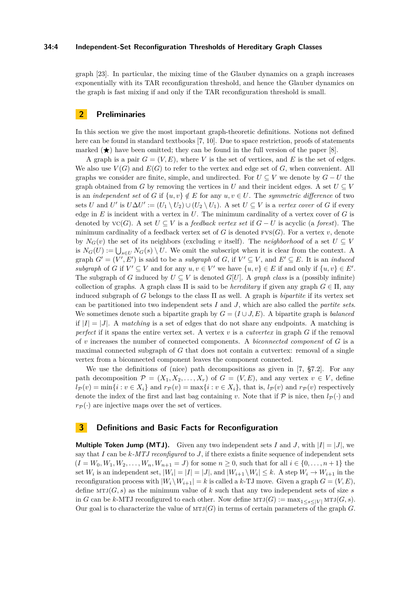## **34:4 Independent-Set Reconfiguration Thresholds of Hereditary Graph Classes**

graph [\[23\]](#page-14-7). In particular, the mixing time of the Glauber dynamics on a graph increases exponentially with its TAR reconfiguration threshold, and hence the Glauber dynamics on the graph is fast mixing if and only if the TAR reconfiguration threshold is small.

## <span id="page-3-0"></span>**2 Preliminaries**

In this section we give the most important graph-theoretic definitions. Notions not defined here can be found in standard textbooks [\[7,](#page-13-10) [10\]](#page-13-11). Due to space restriction, proofs of statements marked  $(\star)$  have been omitted; they can be found in the full version of the paper [\[8\]](#page-13-12).

A graph is a pair  $G = (V, E)$ , where *V* is the set of vertices, and *E* is the set of edges. We also use  $V(G)$  and  $E(G)$  to refer to the vertex and edge set of  $G$ , when convenient. All graphs we consider are finite, simple, and undirected. For  $U \subseteq V$  we denote by  $G - U$  the graph obtained from *G* by removing the vertices in *U* and their incident edges. A set  $U \subseteq V$ is an *independent set* of *G* if  $\{u, v\} \notin E$  for any  $u, v \in U$ . The *symmetric difference* of two sets *U* and *U*' is  $U \Delta U' := (U_1 \setminus U_2) \cup (U_2 \setminus U_1)$ . A set  $U \subseteq V$  is a *vertex cover* of *G* if every edge in *E* is incident with a vertex in *U*. The minimum cardinality of a vertex cover of *G* is denoted by  $\text{VC}(G)$ . A set  $U \subseteq V$  is a *feedback vertex set* if  $G - U$  is acyclic (a *forest*). The minimum cardinality of a feedback vertex set of  $G$  is denoted  $FVS(G)$ . For a vertex  $v$ , denote by  $N_G(v)$  the set of its neighbors (excluding *v* itself). The *neighborhood* of a set  $U \subseteq V$ is  $N_G(U) := \bigcup_{s \in U} N_G(s) \setminus U$ . We omit the subscript when it is clear from the context. A graph  $G' = (V', E')$  is said to be a *subgraph* of *G*, if  $V' \subseteq V$ , and  $E' \subseteq E$ . It is an *induced* subgraph of *G* if  $V' \subseteq V$  and for any  $u, v \in V'$  we have  $\{u, v\} \in E$  if and only if  $\{u, v\} \in E'$ . The subgraph of *G* induced by  $U \subseteq V$  is denoted *G*[*U*]. A *graph class* is a (possibly infinite) collection of graphs. A graph class  $\Pi$  is said to be *hereditary* if given any graph  $G \in \Pi$ , any induced subgraph of *G* belongs to the class  $\Pi$  as well. A graph is *bipartite* if its vertex set can be partitioned into two independent sets *I* and *J*, which are also called the *partite sets*. We sometimes denote such a bipartite graph by  $G = (I \cup J, E)$ . A bipartite graph is *balanced* if  $|I| = |J|$ . A *matching* is a set of edges that do not share any endpoints. A matching is *perfect* if it spans the entire vertex set. A vertex *v* is a *cutvertex* in graph *G* if the removal of *v* increases the number of connected components. A *biconnected component* of *G* is a maximal connected subgraph of *G* that does not contain a cutvertex: removal of a single vertex from a biconnected component leaves the component connected.

We use the definitions of (nice) path decompositions as given in [\[7,](#page-13-10) §7.2]. For any path decomposition  $\mathcal{P} = (X_1, X_2, \ldots, X_r)$  of  $G = (V, E)$ , and any vertex  $v \in V$ , define  $l_{\mathcal{P}}(v) = \min\{i : v \in X_i\}$  and  $r_{\mathcal{P}}(v) = \max\{i : v \in X_i\}$ , that is,  $l_{\mathcal{P}}(v)$  and  $r_{\mathcal{P}}(v)$  respectively denote the index of the first and last bag containing *v*. Note that if  $P$  is nice, then  $l_P(\cdot)$  and  $r_{\mathcal{P}}(\cdot)$  are injective maps over the set of vertices.

## <span id="page-3-1"></span>**3 Definitions and Basic Facts for Reconfiguration**

**Multiple Token Jump (MTJ).** Given any two independent sets *I* and *J*, with  $|I| = |J|$ , we say that *I* can be *k-MTJ reconfigured* to *J*, if there exists a finite sequence of independent sets  $(I = W_0, W_1, W_2, \ldots, W_n, W_{n+1} = J)$  for some  $n \geq 0$ , such that for all  $i \in \{0, \ldots, n+1\}$  the set  $W_i$  is an independent set,  $|W_i| = |I| = |J|$ , and  $|W_{i+1} \setminus W_i| \leq k$ . A step  $W_i \to W_{i+1}$  in the reconfiguration process with  $|W_i \setminus W_{i+1}| = k$  is called a k-TJ move. Given a graph  $G = (V, E)$ , define  $MTJ(G, s)$  as the minimum value of k such that any two independent sets of size s in *G* can be *k*-MTJ reconfigured to each other. Now define  $MT(G) := \max_{1 \leq s \leq |V|} MTJ(G, s)$ . Our goal is to characterize the value of  $MT(G)$  in terms of certain parameters of the graph *G*.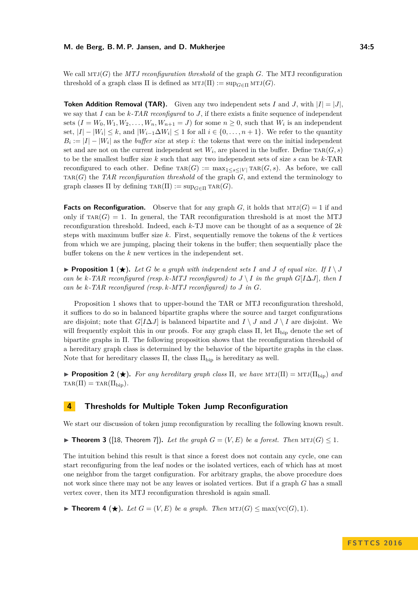We call  $MTJ(G)$  the *MTJ reconfiguration threshold* of the graph *G*. The MTJ reconfiguration threshold of a graph class  $\Pi$  is defined as  $MTJ(\Pi) := \sup_{G \in \Pi} MTJ(G)$ .

**Token Addition Removal (TAR).** Given any two independent sets *I* and *J*, with  $|I| = |J|$ . we say that *I* can be *k-TAR reconfigured* to *J*, if there exists a finite sequence of independent sets  $(I = W_0, W_1, W_2, \ldots, W_n, W_{n+1} = J)$  for some  $n \geq 0$ , such that  $W_i$  is an independent set,  $|I| - |W_i| \leq k$ , and  $|W_{i-1}\Delta W_i| \leq 1$  for all  $i \in \{0, \ldots, n+1\}$ . We refer to the quantity  $B_i := |I| - |W_i|$  as the *buffer size* at step *i*: the tokens that were on the initial independent set and are not on the current independent set  $W_i$ , are placed in the buffer. Define  $\text{tar}(G, s)$ to be the smallest buffer size *k* such that any two independent sets of size *s* can be *k*-TAR reconfigured to each other. Define  $\text{tar}(G) := \max_{1 \leq s \leq |V|} \text{tar}(G, s)$ . As before, we call  $TAR(G)$  the *TAR reconfiguration threshold* of the graph  $G$ , and extend the terminology to graph classes  $\Pi$  by defining  $\text{tar}(\Pi) := \text{sup}_{G \in \Pi} \text{tar}(G)$ .

**Facts on Reconfiguration.** Observe that for any graph *G*, it holds that  $MTJ(G) = 1$  if and only if  $\text{tar}(G) = 1$ . In general, the TAR reconfiguration threshold is at most the MTJ reconfiguration threshold. Indeed, each *k*-TJ move can be thought of as a sequence of 2*k* steps with maximum buffer size *k*. First, sequentially remove the tokens of the *k* vertices from which we are jumping, placing their tokens in the buffer; then sequentially place the buffer tokens on the *k* new vertices in the independent set.

<span id="page-4-0"></span>**Proposition 1** ( $\star$ ). Let G be a graph with independent sets I and J of equal size. If  $I \setminus J$ *can be*  $k$ *-TAR reconfigured (resp.k-MTJ reconfigured) to*  $J \setminus I$  *in the graph*  $G[I\Delta J]$ *, then I can be k-TAR reconfigured (resp. k-MTJ reconfigured) to J in G.*

Proposition [1](#page-4-0) shows that to upper-bound the TAR or MTJ reconfiguration threshold, it suffices to do so in balanced bipartite graphs where the source and target configurations are disjoint; note that  $G[I\Delta J]$  is balanced bipartite and  $I \setminus J$  and  $J \setminus I$  are disjoint. We will frequently exploit this in our proofs. For any graph class  $\Pi$ , let  $\Pi_{\text{bip}}$  denote the set of bipartite graphs in Π. The following proposition shows that the reconfiguration threshold of a hereditary graph class is determined by the behavior of the bipartite graphs in the class. Note that for hereditary classes  $\Pi$ , the class  $\Pi_{\text{bip}}$  is hereditary as well.

**Proposition 2** ( $\star$ ). For any hereditary graph class  $\Pi$ , we have  $MTJ(\Pi) = MTJ(\Pi_{\text{bip}})$  and  $TAR(\Pi) = TAR(\Pi_{\text{bin}}).$ 

## **4 Thresholds for Multiple Token Jump Reconfiguration**

We start our discussion of token jump reconfiguration by recalling the following known result.

<span id="page-4-2"></span>▶ **Theorem 3** ([\[18,](#page-14-0) Theorem 7]). Let the graph  $G = (V, E)$  be a forest. Then  $MT(G) ≤ 1$ .

The intuition behind this result is that since a forest does not contain any cycle, one can start reconfiguring from the leaf nodes or the isolated vertices, each of which has at most one neighbor from the target configuration. For arbitrary graphs, the above procedure does not work since there may not be any leaves or isolated vertices. But if a graph *G* has a small vertex cover, then its MTJ reconfiguration threshold is again small.

<span id="page-4-1"></span>▶ **Theorem 4 (★).** *Let*  $G = (V, E)$  *be a graph. Then*  $MT(G) \le max(VC(G), 1)$ *.*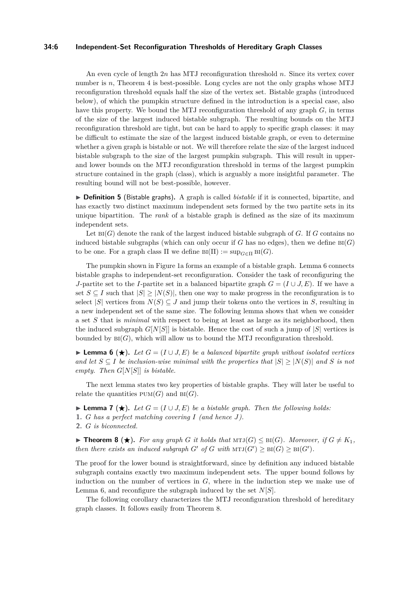## **34:6 Independent-Set Reconfiguration Thresholds of Hereditary Graph Classes**

An even cycle of length 2*n* has MTJ reconfiguration threshold *n*. Since its vertex cover number is *n*, Theorem [4](#page-4-1) is best-possible. Long cycles are not the only graphs whose MTJ reconfiguration threshold equals half the size of the vertex set. Bistable graphs (introduced below), of which the pumpkin structure defined in the introduction is a special case, also have this property. We bound the MTJ reconfiguration threshold of any graph *G*, in terms of the size of the largest induced bistable subgraph. The resulting bounds on the MTJ reconfiguration threshold are tight, but can be hard to apply to specific graph classes: it may be difficult to estimate the size of the largest induced bistable graph, or even to determine whether a given graph is bistable or not. We will therefore relate the size of the largest induced bistable subgraph to the size of the largest pumpkin subgraph. This will result in upperand lower bounds on the MTJ reconfiguration threshold in terms of the largest pumpkin structure contained in the graph (class), which is arguably a more insightful parameter. The resulting bound will not be best-possible, however.

▶ **Definition 5** (Bistable graphs). A graph is called *bistable* if it is connected, bipartite, and has exactly two distinct maximum independent sets formed by the two partite sets in its unique bipartition. The *rank* of a bistable graph is defined as the size of its maximum independent sets.

Let  $\text{Bi}(G)$  denote the rank of the largest induced bistable subgraph of  $G$ . If  $G$  contains no induced bistable subgraphs (which can only occur if  $G$  has no edges), then we define  $B(G)$ to be one. For a graph class  $\Pi$  we define  $\text{Bi}(\Pi) := \sup_{G \in \Pi} \text{Bi}(G)$ .

The pumpkin shown in Figure [1a](#page-1-0) forms an example of a bistable graph. Lemma [6](#page-5-0) connects bistable graphs to independent-set reconfiguration. Consider the task of reconfiguring the *J*-partite set to the *I*-partite set in a balanced bipartite graph  $G = (I \cup J, E)$ . If we have a set  $S \subseteq I$  such that  $|S| \geq |N(S)|$ , then one way to make progress in the reconfiguration is to select  $|S|$  vertices from  $N(S) \subseteq J$  and jump their tokens onto the vertices in *S*, resulting in a new independent set of the same size. The following lemma shows that when we consider a set *S* that is *minimal* with respect to being at least as large as its neighborhood, then the induced subgraph  $G[N|S]$  is bistable. Hence the cost of such a jump of  $|S|$  vertices is bounded by  $\text{Bi}(G)$ , which will allow us to bound the MTJ reconfiguration threshold.

<span id="page-5-0"></span>**► Lemma 6** (★). Let  $G = (I \cup J, E)$  be a balanced bipartite graph without isolated vertices *and let*  $S \subseteq I$  *be inclusion-wise minimal with the properties that*  $|S| \geq |N(S)|$  *and S is not empty. Then G*[*N*[*S*]] *is bistable.*

The next lemma states two key properties of bistable graphs. They will later be useful to relate the quantities  $PUM(G)$  and  $BI(G)$ .

<span id="page-5-2"></span>**► Lemma 7** (★). Let  $G = (I \cup J, E)$  be a bistable graph. Then the following holds: **1.** *G has a perfect matching covering I (and hence J).* **2.** *G is biconnected.*

<span id="page-5-1"></span>▶ **Theorem 8** (★). For any graph *G* it holds that  $MT(G)$   $\leq$  BI(*G*)*. Moreover, if*  $G \neq K_1$ *, then there exists an induced subgraph*  $G'$  *of*  $G$  *with*  $MT(G') \geq BT(G') \geq BT(G')$ *.* 

The proof for the lower bound is straightforward, since by definition any induced bistable subgraph contains exactly two maximum independent sets. The upper bound follows by induction on the number of vertices in *G*, where in the induction step we make use of Lemma [6,](#page-5-0) and reconfigure the subgraph induced by the set *N*[*S*].

The following corollary characterizes the MTJ reconfiguration threshold of hereditary graph classes. It follows easily from Theorem [8.](#page-5-1)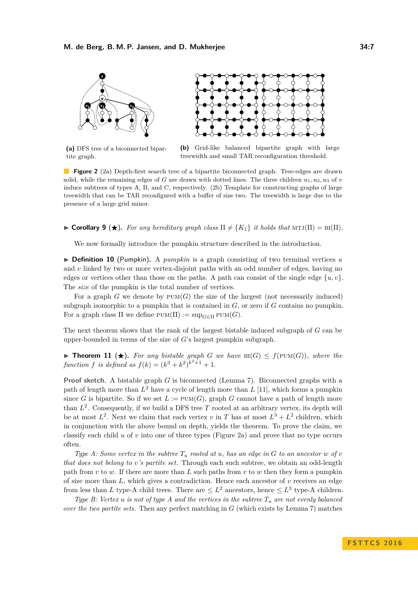<span id="page-6-0"></span>

**(a)** DFS tree of a biconnected bipartite graph.



**Figure 2** [\(2a\)](#page-6-0) Depth-first search tree of a bipartite biconnected graph. Tree-edges are drawn solid, while the remaining edges of *G* are drawn with dotted lines. The three children  $u_1, u_2, u_3$  of *v* induce subtrees of types A, B, and C, respectively. [\(2b\)](#page-6-0) Template for constructing graphs of large treewidth that can be TAR reconfigured with a buffer of size two. The treewidth is large due to the presence of a large grid minor.

**Corollary 9** ( $\star$ ). For any hereditary graph class  $\Pi \neq \{K_1\}$  it holds that  $MTJ(\Pi) = BT(\Pi)$ .

We now formally introduce the pumpkin structure described in the introduction.

 $\triangleright$  **Definition 10** (Pumpkin). A *pumpkin* is a graph consisting of two terminal vertices *u* and *v* linked by two or more vertex-disjoint paths with an odd number of edges, having no edges or vertices other than those on the paths. A path can consist of the single edge  $\{u, v\}$ . The *size* of the pumpkin is the total number of vertices.

For a graph *G* we denote by  $PUM(G)$  the size of the largest (not necessarily induced) subgraph isomorphic to a pumpkin that is contained in *G*, or zero if *G* contains no pumpkin. For a graph class  $\Pi$  we define  $\text{PUM}(\Pi) := \text{sup}_{G \in \Pi} \text{PUM}(G)$ .

The next theorem shows that the rank of the largest bistable induced subgraph of *G* can be upper-bounded in terms of the size of *G*'s largest pumpkin subgraph.

<span id="page-6-1"></span>▶ **Theorem 11** (★). For any bistable graph *G* we have  $\text{Bi}(G) \leq f(\text{PUM}(G))$ , where the *function f is defined as*  $f(k) = (k^3 + k^2)^{k^2+1} + 1$ .

**Proof sketch.** A bistable graph *G* is biconnected (Lemma [7\)](#page-5-2). Biconnected graphs with a path of length more than *L* <sup>2</sup> have a cycle of length more than *L* [\[11\]](#page-13-13), which forms a pumpkin since *G* is bipartite. So if we set  $L := \text{PUM}(G)$ , graph *G* cannot have a path of length more than  $L^2$ . Consequently, if we build a DFS tree  $T$  rooted at an arbitrary vertex, its depth will be at most  $L^2$ . Next we claim that each vertex *v* in *T* has at most  $L^3 + L^2$  children, which in conjunction with the above bound on depth, yields the theorem. To prove the claim, we classify each child *u* of *v* into one of three types (Figure [2a\)](#page-6-0) and prove that no type occurs often.

*Type A:* Some vertex in the subtree  $T_u$  rooted at  $u$ , has an edge in  $G$  to an ancestor  $w$  of  $v$ *that does not belong to v's partite set.* Through each such subtree, we obtain an odd-length path from *v* to *w*. If there are more than *L* such paths from *v* to *w* then they form a pumpkin of size more than *L*, which gives a contradiction. Hence each ancestor of *v* receives an edge from less than *L* type-A child trees. There are  $\leq L^2$  ancestors, hence  $\leq L^3$  type-A children.

*Type B: Vertex*  $u$  *is not of type A and the vertices in the subtree*  $T_u$  *are not evenly balanced over the two partite sets.* Then any perfect matching in *G* (which exists by Lemma [7\)](#page-5-2) matches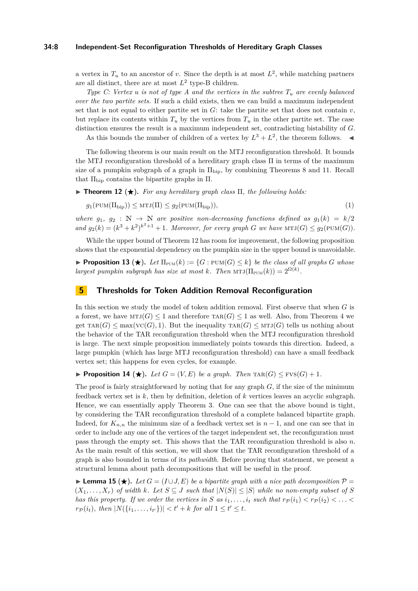## **34:8 Independent-Set Reconfiguration Thresholds of Hereditary Graph Classes**

a vertex in  $T_u$  to an ancestor of *v*. Since the depth is at most  $L^2$ , while matching partners are all distinct, there are at most  $L^2$  type-B children.

*Type C: Vertex u is not of type A and the vertices in the subtree*  $T_u$  *are evenly balanced over the two partite sets.* If such a child exists, then we can build a maximum independent set that is not equal to either partite set in  $G$ : take the partite set that does not contain  $v$ , but replace its contents within  $T_u$  by the vertices from  $T_u$  in the other partite set. The case distinction ensures the result is a maximum independent set, contradicting bistability of *G*.

As this bounds the number of children of a vertex by  $L^3 + L^2$ , the theorem follows.

The following theorem is our main result on the MTJ reconfiguration threshold. It bounds the MTJ reconfiguration threshold of a hereditary graph class Π in terms of the maximum size of a pumpkin subgraph of a graph in  $\Pi_{\text{bip}}$ , by combining Theorems [8](#page-5-1) and [11.](#page-6-1) Recall that  $\Pi_{\text{bip}}$  contains the bipartite graphs in  $\Pi$ .

<span id="page-7-0"></span>**Theorem 12 (** $\star$ **).** For any hereditary graph class  $\Pi$ , the following holds:

$$
g_1(\text{PUM}(\Pi_{\text{bip}})) \le \text{MTJ}(\Pi) \le g_2(\text{PUM}(\Pi_{\text{bip}})),\tag{1}
$$

*where*  $g_1, g_2 : \mathbb{N} \to \mathbb{N}$  *are positive non-decreasing functions defined as*  $g_1(k) = k/2$ and  $g_2(k) = (k^3 + k^2)^{k^2+1} + 1$ *. Moreover, for every graph G* we have  $MTJ(G) \leq g_2(PUM(G))$ *.* 

While the upper bound of Theorem [12](#page-7-0) has room for improvement, the following proposition shows that the exponential dependency on the pumpkin size in the upper bound is unavoidable.

**Proposition 13** ( $\star$ ). Let  $\Pi_{\text{PUM}}(k) := \{G : \text{PUM}(G) \leq k\}$  be the class of all graphs G whose *largest pumpkin subgraph has size at most k. Then*  $MTJ(\Pi_{\text{PUM}}(k)) = 2^{\Omega(k)}$ *.* 

## **5 Thresholds for Token Addition Removal Reconfiguration**

In this section we study the model of token addition removal. First observe that when *G* is a forest, we have  $MTJ(G) \leq 1$  and therefore  $TRR(G) \leq 1$  as well. Also, from Theorem [4](#page-4-1) we get  $\text{tar}(G) \le \max(\text{vc}(G), 1)$ . But the inequality  $\text{tar}(G) \le \text{MTJ}(G)$  tells us nothing about the behavior of the TAR reconfiguration threshold when the MTJ reconfiguration threshold is large. The next simple proposition immediately points towards this direction. Indeed, a large pumpkin (which has large MTJ reconfiguration threshold) can have a small feedback vertex set; this happens for even cycles, for example.

**Proposition 14** ( $\star$ ). Let  $G = (V, E)$  be a graph. Then  $\text{tar}(G) \leq \text{FVS}(G) + 1$ .

The proof is fairly straightforward by noting that for any graph *G*, if the size of the minimum feedback vertex set is *k*, then by definition, deletion of *k* vertices leaves an acyclic subgraph. Hence, we can essentially apply Theorem [3.](#page-4-2) One can see that the above bound is tight, by considering the TAR reconfiguration threshold of a complete balanced bipartite graph. Indeed, for  $K_{n,n}$  the minimum size of a feedback vertex set is  $n-1$ , and one can see that in order to include any one of the vertices of the target independent set, the reconfiguration must pass through the empty set. This shows that the TAR reconfiguration threshold is also *n*. As the main result of this section, we will show that the TAR reconfiguration threshold of a graph is also bounded in terms of its *pathwidth*. Before proving that statement, we present a structural lemma about path decompositions that will be useful in the proof.

<span id="page-7-1"></span>**Lemma 15** ( $\bigstar$ ). Let  $G = (I \cup J, E)$  be a bipartite graph with a nice path decomposition  $\mathcal{P}$  $(X_1, \ldots, X_r)$  of width  $k$ . Let  $S \subseteq J$  such that  $|N(S)| \leq |S|$  while no non-empty subset of S *has this property. If we order the vertices in S as*  $i_1, \ldots, i_t$  *such that*  $r_p(i_1) < r_p(i_2) < \ldots < r_p(i_t)$  $r_{\mathcal{P}}(i_t)$ *, then*  $|N(\{i_1, \ldots, i_{t'}\})| < t' + k$  *for all*  $1 \le t' \le t$ *.*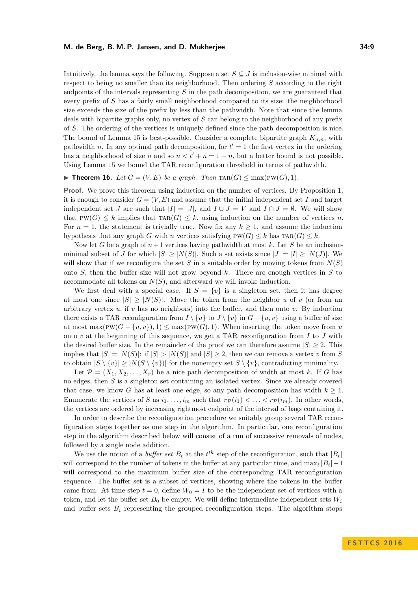Intuitively, the lemma says the following. Suppose a set  $S \subseteq J$  is inclusion-wise minimal with respect to being no smaller than its neighborhood. Then ordering *S* according to the right endpoints of the intervals representing *S* in the path decomposition, we are guaranteed that every prefix of *S* has a fairly small neighborhood compared to its size: the neighborhood size exceeds the size of the prefix by less than the pathwidth. Note that since the lemma deals with bipartite graphs only, no vertex of *S* can belong to the neighborhood of any prefix of *S*. The ordering of the vertices is uniquely defined since the path decomposition is nice. The bound of Lemma [15](#page-7-1) is best-possible. Consider a complete bipartite graph  $K_{n,n}$ , with pathwidth *n*. In any optimal path decomposition, for  $t' = 1$  the first vertex in the ordering has a neighborhood of size *n* and so  $n < t' + n = 1 + n$ , but a better bound is not possible. Using Lemma [15](#page-7-1) we bound the TAR reconfiguration threshold in terms of pathwidth.

## <span id="page-8-0"></span>▶ **Theorem 16.** *Let*  $G = (V, E)$  *be a graph. Then*  $\text{tar}(G) \leq \max(\text{PW}(G), 1)$ *.*

**Proof.** We prove this theorem using induction on the number of vertices. By Proposition [1,](#page-4-0) it is enough to consider  $G = (V, E)$  and assume that the initial independent set *I* and target independent set *J* are such that  $|I| = |J|$ , and  $I \cup J = V$  and  $I \cap J = \emptyset$ . We will show that PW(*G*)  $\leq k$  implies that TAR(*G*)  $\leq k$ , using induction on the number of vertices *n*. For  $n = 1$ , the statement is trivially true. Now fix any  $k \geq 1$ , and assume the induction hypothesis that any graph *G* with *n* vertices satisfying  $PW(G) \leq k$  has  $TAR(G) \leq k$ .

Now let *G* be a graph of  $n+1$  vertices having pathwidth at most *k*. Let *S* be an inclusionminimal subset of *J* for which  $|S| > |N(S)|$ . Such a set exists since  $|J| = |I| > |N(J)|$ . We will show that if we reconfigure the set  $S$  in a suitable order by moving tokens from  $N(S)$ onto *S*, then the buffer size will not grow beyond *k*. There are enough vertices in *S* to accommodate all tokens on *N*(*S*), and afterward we will invoke induction.

We first deal with a special case. If  $S = \{v\}$  is a singleton set, then it has degree at most one since  $|S| \geq |N(S)|$ . Move the token from the neighbor *u* of *v* (or from an arbitrary vertex *u*, if *v* has no neighbors) into the buffer, and then onto *v*. By induction there exists a TAR reconfiguration from  $I \setminus \{u\}$  to  $J \setminus \{v\}$  in  $G - \{u, v\}$  using a buffer of size at most max( $PW(G - \{u, v\}), 1)$  ≤ max( $PW(G), 1)$ ). When inserting the token move from *u* onto  $v$  at the beginning of this sequence, we get a TAR reconfiguration from  $I$  to  $J$  with the desired buffer size. In the remainder of the proof we can therefore assume  $|S| \geq 2$ . This implies that  $|S| = |N(S)|$ : if  $|S| > |N(S)|$  and  $|S| > 2$ , then we can remove a vertex *v* from *S* to obtain  $|S \setminus \{v\}| \geq |N(S \setminus \{v\})|$  for the nonempty set  $S \setminus \{v\}$ , contradicting minimality.

Let  $\mathcal{P} = (X_1, X_2, \ldots, X_r)$  be a nice path decomposition of width at most k. If G has no edges, then *S* is a singleton set containing an isolated vertex. Since we already covered that case, we know G has at least one edge, so any path decomposition has width  $k \geq 1$ . Enumerate the vertices of *S* as  $i_1, \ldots, i_m$  such that  $r_P(i_1) < \ldots < r_P(i_m)$ . In other words, the vertices are ordered by increasing rightmost endpoint of the interval of bags containing it.

In order to describe the reconfiguration procedure we suitably group several TAR reconfiguration steps together as one step in the algorithm. In particular, one reconfiguration step in the algorithm described below will consist of a run of successive removals of nodes, followed by a single node addition.

We use the notion of a *buffer set*  $B_t$  at the  $t^{th}$  step of the reconfiguration, such that  $|B_t|$ will correspond to the number of tokens in the buffer at any particular time, and  $\max_t |B_t| + 1$ will correspond to the maximum buffer size of the corresponding TAR reconfiguration sequence. The buffer set is a subset of vertices, showing where the tokens in the buffer came from. At time step  $t = 0$ , define  $W_0 = I$  to be the independent set of vertices with a token, and let the buffer set  $B_0$  be empty. We will define intermediate independent sets  $W_i$ and buffer sets  $B_i$  representing the grouped reconfiguration steps. The algorithm stops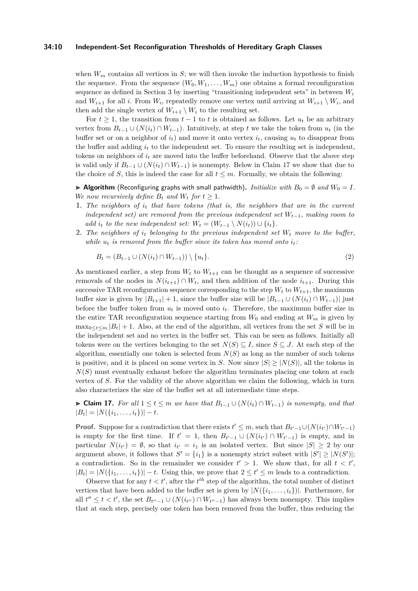## **34:10 Independent-Set Reconfiguration Thresholds of Hereditary Graph Classes**

when  $W_m$  contains all vertices in  $S$ ; we will then invoke the induction hypothesis to finish the sequence. From the sequence  $(W_0, W_1, \ldots, W_m)$  one obtains a formal reconfiguration sequence as defined in Section [3](#page-3-1) by inserting "transitioning independent sets" in between *W<sup>i</sup>* and  $W_{i+1}$  for all *i*. From  $W_i$ , repeatedly remove one vertex until arriving at  $W_{i+1} \setminus W_i$ , and then add the single vertex of  $W_{i+1} \setminus W_i$  to the resulting set.

For  $t \geq 1$ , the transition from  $t-1$  to  $t$  is obtained as follows. Let  $u_t$  be an arbitrary vertex from  $B_{t-1} \cup (N(i_t) \cap W_{t-1})$ . Intuitively, at step *t* we take the token from  $u_t$  (in the buffer set or on a neighbor of  $i_t$ ) and move it onto vertex  $i_t$ , causing  $u_t$  to disappear from the buffer and adding  $i_t$  to the independent set. To ensure the resulting set is independent, tokens on neighbors of  $i_t$  are moved into the buffer beforehand. Observe that the above step is valid only if  $B_{t-1} \cup (N(i_t) \cap W_{t-1})$  is nonempty. Below in Claim [17](#page-9-0) we show that due to the choice of *S*, this is indeed the case for all  $t \leq m$ . Formally, we obtain the following:

 $\blacktriangleright$  **Algorithm** (Reconfiguring graphs with small pathwidth). *Initialize with*  $B_0 = \emptyset$  and  $W_0 = I$ *. We now recursively define*  $B_t$  *and*  $W_t$  *for*  $t \geq 1$ *.* 

- **1.** *The neighbors of i<sup>t</sup> that have tokens (that is, the neighbors that are in the current independent set) are removed from the previous independent set Wt*−1*, making room to add i*<sub>t</sub> to the new independent set:  $W_t = (W_{t-1} \setminus N(i_t)) \cup \{i_t\}.$
- **2.** *The neighbors of i<sup>t</sup> belonging to the previous independent set W<sup>t</sup> move to the buffer, while*  $u_t$  *is removed from the buffer since its token has moved onto*  $i_t$ *:*

$$
B_t = (B_{t-1} \cup (N(i_t) \cap W_{t-1})) \setminus \{u_t\}.
$$
\n(2)

As mentioned earlier, a step from  $W_t$  to  $W_{t+1}$  can be thought as a sequence of successive removals of the nodes in  $N(i_{t+1}) \cap W_t$ , and then addition of the node  $i_{t+1}$ . During this successive TAR reconfiguration sequence corresponding to the step  $W_t$  to  $W_{t+1}$ , the maximum buffer size is given by  $|B_{t+1}| + 1$ , since the buffer size will be  $|B_{t-1} \cup (N(i_t) \cap W_{t-1})|$  just before the buffer token from  $u_t$  is moved onto  $i_t$ . Therefore, the maximum buffer size in the entire TAR reconfiguration sequence starting from  $W_0$  and ending at  $W_m$  is given by  $\max_{0 \leq t \leq m} |B_t| + 1$ . Also, at the end of the algorithm, all vertices from the set *S* will be in the independent set and no vertex in the buffer set. This can be seen as follows. Initially all tokens were on the vertices belonging to the set  $N(S) \subseteq I$ , since  $S \subseteq J$ . At each step of the algorithm, essentially one token is selected from  $N(S)$  as long as the number of such tokens is positive, and it is placed on some vertex in *S*. Now since  $|S| \geq |N(S)|$ , all the tokens in  $N(S)$  must eventually exhaust before the algorithm terminates placing one token at each vertex of *S*. For the validity of the above algorithm we claim the following, which in turn also characterizes the size of the buffer set at all intermediate time steps.

<span id="page-9-0"></span>► Claim 17. For all  $1 \le t \le m$  we have that  $B_{t-1} \cup (N(i_t) \cap W_{t-1})$  is nonempty, and that  $|B_t| = |N(\{i_1, \ldots, i_t\})| - t.$ 

**Proof.** Suppose for a contradiction that there exists  $t' \leq m$ , such that  $B_{t'-1} \cup (N(i_{t'}) \cap W_{t'-1})$ is empty for the first time. If  $t' = 1$ , then  $B_{t'-1} \cup (N(i_{t'}) \cap W_{t'-1})$  is empty, and in particular  $N(i_{t'}) = \emptyset$ , so that  $i_{t'} = i_1$  is an isolated vertex. But since  $|S| \geq 2$  by our argument above, it follows that  $S' = \{i_1\}$  is a nonempty strict subset with  $|S'| \geq |N(S')|$ ; a contradiction. So in the remainder we consider  $t' > 1$ . We show that, for all  $t < t'$ ,  $|B_t| = |N(\{i_1, \ldots, i_t\})| - t$ . Using this, we prove that  $2 \le t' \le m$  leads to a contradiction.

Observe that for any  $t < t'$ , after the  $t<sup>th</sup>$  step of the algorithm, the total number of distinct vertices that have been added to the buffer set is given by  $|N({i_1}, \ldots, i_t)|$ . Furthermore, for all  $t'' \leq t < t'$ , the set  $B_{t''-1} \cup (N(i_{t''}) \cap W_{t''-1})$  has always been nonempty. This implies that at each step, precisely one token has been removed from the buffer, thus reducing the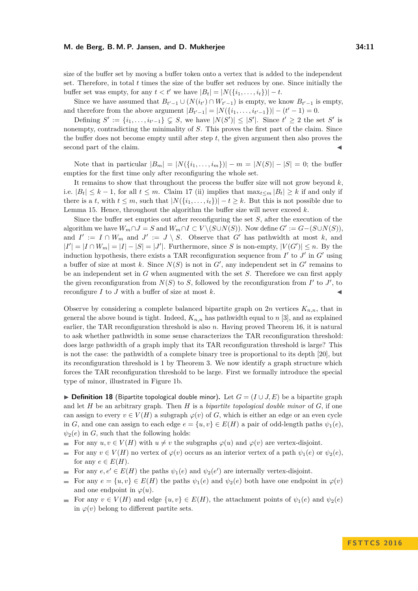size of the buffer set by moving a buffer token onto a vertex that is added to the independent set. Therefore, in total *t* times the size of the buffer set reduces by one. Since initially the buffer set was empty, for any  $t < t'$  we have  $|B_t| = |N(\{i_1, \ldots, i_t\})| - t$ .

Since we have assumed that  $B_{t'-1} \cup (N(i_{t'}) \cap W_{t'-1})$  is empty, we know  $B_{t'-1}$  is empty, and therefore from the above argument  $|B_{t'-1}| = |N(\{i_1, \ldots, i_{t'-1}\})| - (t'-1) = 0$ .

Defining  $S' := \{i_1, \ldots, i_{t'-1}\} \subsetneq S$ , we have  $|N(S')| \leq |S'|$ . Since  $t' \geq 2$  the set  $S'$  is nonempty, contradicting the minimality of *S*. This proves the first part of the claim. Since the buffer does not become empty until after step *t*, the given argument then also proves the second part of the claim.

Note that in particular  $|B_m| = |N(\{i_1, ..., i_m\})| - m = |N(S)| - |S| = 0$ ; the buffer empties for the first time only after reconfiguring the whole set.

It remains to show that throughout the process the buffer size will not grow beyond *k*, i.e.  $|B_t|$  ≤ *k* − 1, for all *t* ≤ *m*. Claim [17](#page-9-0) (ii) implies that max<sub>*t*≤*m*</sub>  $|B_t|$  ≥ *k* if and only if there is a *t*, with  $t \leq m$ , such that  $|N(\{i_1, \ldots, i_t\})| - t \geq k$ . But this is not possible due to Lemma [15.](#page-7-1) Hence, throughout the algorithm the buffer size will never exceed *k*.

Since the buffer set empties out after reconfiguring the set *S*, after the execution of the algorithm we have  $W_m \cap J = S$  and  $W_m \cap I \subset V \setminus (S \cup N(S))$ . Now define  $G' := G - (S \cup N(S))$ , and  $I' := I \cap W_m$  and  $J' := J \setminus S$ . Observe that  $G'$  has pathwidth at most k, and  $|I'| = |I \cap W_m| = |I| - |S| = |J'|$ . Furthermore, since *S* is non-empty,  $|V(G')| \leq n$ . By the induction hypothesis, there exists a TAR reconfiguration sequence from  $I'$  to  $J'$  in  $G'$  using a buffer of size at most k. Since  $N(S)$  is not in  $G'$ , any independent set in  $G'$  remains to be an independent set in *G* when augmented with the set *S*. Therefore we can first apply the given reconfiguration from  $N(S)$  to *S*, followed by the reconfiguration from *I'* to *J'*, to reconfigure  $I$  to  $J$  with a buffer of size at most  $k$ .

Observe by considering a complete balanced bipartite graph on  $2n$  vertices  $K_{n,n}$ , that in general the above bound is tight. Indeed, *Kn,n* has pathwidth equal to *n* [\[3\]](#page-13-14), and as explained earlier, the TAR reconfiguration threshold is also *n*. Having proved Theorem [16,](#page-8-0) it is natural to ask whether pathwidth in some sense characterizes the TAR reconfiguration threshold: does large pathwidth of a graph imply that its TAR reconfiguration threshold is large? This is not the case: the pathwidth of a complete binary tree is proportional to its depth [\[20\]](#page-14-8), but its reconfiguration threshold is 1 by Theorem [3.](#page-4-2) We now identify a graph structure which forces the TAR reconfiguration threshold to be large. First we formally introduce the special type of minor, illustrated in Figure [1b.](#page-1-0)

<span id="page-10-0"></span>**► Definition 18** (Bipartite topological double minor). Let  $G = (I \cup J, E)$  be a bipartite graph and let *H* be an arbitrary graph. Then *H* is a *bipartite topological double minor* of *G*, if one can assign to every  $v \in V(H)$  a subgraph  $\varphi(v)$  of *G*, which is either an edge or an even cycle in *G*, and one can assign to each edge  $e = \{u, v\} \in E(H)$  a pair of odd-length paths  $\psi_1(e)$ ,  $\psi_2(e)$  in *G*, such that the following holds:

- For any  $u, v \in V(H)$  with  $u \neq v$  the subgraphs  $\varphi(u)$  and  $\varphi(v)$  are vertex-disjoint.
- For any  $v \in V(H)$  no vertex of  $\varphi(v)$  occurs as an interior vertex of a path  $\psi_1(e)$  or  $\psi_2(e)$ , for any  $e \in E(H)$ .
- For any  $e, e' \in E(H)$  the paths  $\psi_1(e)$  and  $\psi_2(e')$  are internally vertex-disjoint.  $\sim$
- For any  $e = \{u, v\} \in E(H)$  the paths  $\psi_1(e)$  and  $\psi_2(e)$  both have one endpoint in  $\varphi(v)$ and one endpoint in  $\varphi(u)$ .
- For any  $v \in V(H)$  and edge  $\{u, v\} \in E(H)$ , the attachment points of  $\psi_1(e)$  and  $\psi_2(e)$ in  $\varphi(v)$  belong to different partite sets.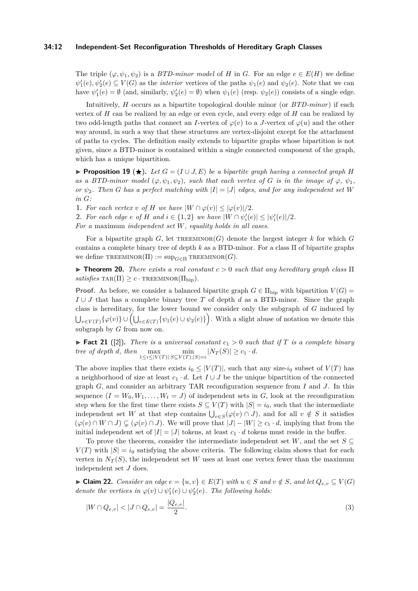## **34:12 Independent-Set Reconfiguration Thresholds of Hereditary Graph Classes**

The triple  $(\varphi, \psi_1, \psi_2)$  is a *BTD-minor model* of *H* in *G*. For an edge  $e \in E(H)$  we define  $\psi_1'(e), \psi_2'(e) \subseteq V(G)$  as the *interior* vertices of the paths  $\psi_1(e)$  and  $\psi_2(e)$ . Note that we can have  $\psi'_1(e) = \emptyset$  (and, similarly,  $\psi'_2(e) = \emptyset$ ) when  $\psi_1(e)$  (resp.  $\psi_2(e)$ ) consists of a single edge.

Intuitively, *H* occurs as a bipartite topological double minor (or *BTD-minor*) if each vertex of *H* can be realized by an edge or even cycle, and every edge of *H* can be realized by two odd-length paths that connect an *I*-vertex of  $\varphi(v)$  to a *J*-vertex of  $\varphi(u)$  and the other way around, in such a way that these structures are vertex-disjoint except for the attachment of paths to cycles. The definition easily extends to bipartite graphs whose bipartition is not given, since a BTD-minor is contained within a single connected component of the graph, which has a unique bipartition.

<span id="page-11-0"></span>**Proposition 19**  $(\star)$ . Let  $G = (I \cup J, E)$  be a bipartite graph having a connected graph *H as a BTD-minor model*  $(\varphi, \psi_1, \psi_2)$ *, such that each vertex of G is in the image of*  $\varphi, \psi_1$ *, or*  $\psi_2$ *. Then G has a perfect matching with*  $|I| = |J|$  *edges, and for any independent set W in G:*

**1.** For each vertex *v* of *H* we have  $|W \cap \varphi(v)| \leq |\varphi(v)|/2$ .

**2.** *For each edge*  $e$  *<i>of*  $H$  *and*  $i \in \{1, 2\}$  *we have*  $|W \cap \psi_i'(e)| \leq |\psi_i'(e)|/2$ *.* 

*For a* maximum *independent set W, equality holds in all cases.*

For a bipartite graph  $G$ , let  $TREEMINOR(G)$  denote the largest integer  $k$  for which  $G$ contains a complete binary tree of depth *k* as a BTD-minor. For a class Π of bipartite graphs we define  $T$ REEMINOR( $\Pi$ ) :=  $\sup_{G \in \Pi}$  TREEMINOR( $G$ ).

<span id="page-11-2"></span>**Find 7. Theorem 20.** *There exists a real constant*  $c > 0$  *such that any hereditary graph class*  $\Pi$  $satisfies \text{star}(\Pi) \geq c \cdot \text{tr}(\Pi_{\text{bip}}).$ 

**Proof.** As before, we consider a balanced bipartite graph  $G \in \Pi_{\text{bip}}$  with bipartition  $V(G)$ *I* ∪ *J* that has a complete binary tree *T* of depth *d* as a BTD-minor. Since the graph class is hereditary, for the lower bound we consider only the subgraph of *G* induced by  $\bigcup_{v \in V(T)} \{\varphi(v)\} \cup \left(\bigcup_{e \in E(T)} \{\psi_1(e) \cup \psi_2(e)\}\right)$ . With a slight abuse of notation we denote this subgraph by *G* from now on.

**Fact 21** ([\[2\]](#page-13-15)). There is a universal constant  $c_1 > 0$  such that if *T* is a complete binary *tree of depth d, then*  $\max_{1 \le i \le |V(T)|} \min_{S \subseteq V(T); |S| = i} |N_T(S)| \ge c_1 \cdot d$ *.* 

The above implies that there exists  $i_0 \leq |V(T)|$ , such that any size- $i_0$  subset of  $V(T)$  has a neighborhood of size at least  $c_1 \cdot d$ . Let  $I \cup J$  be the unique bipartition of the connected graph *G*, and consider an arbitrary TAR reconfiguration sequence from *I* and *J*. In this sequence  $(I = W_0, W_1, \ldots, W_t = J)$  of independent sets in *G*, look at the reconfiguration step when for the first time there exists  $S \subseteq V(T)$  with  $|S| = i_0$ , such that the intermediate independent set *W* at that step contains  $\bigcup_{v \in S} (\varphi(v) \cap J)$ , and for all  $v \notin S$  it satisfies  $(\varphi(v) \cap W \cap J) \subsetneq (\varphi(v) \cap J)$ . We will prove that  $|J| - |W| \geq c_1 \cdot d$ , implying that from the initial independent set of  $|I| = |J|$  tokens, at least  $c_1 \cdot d$  tokens must reside in the buffer.

To prove the theorem, consider the intermediate independent set  $W$ , and the set  $S \subseteq$  $V(T)$  with  $|S| = i_0$  satisfying the above criteria. The following claim shows that for each vertex in  $N_T(S)$ , the independent set W uses at least one vertex fewer than the maximum independent set *J* does.

<span id="page-11-1"></span>► **Claim 22.** *Consider an edge*  $e = \{u, v\} \in E(T)$  *with*  $u \in S$  *and*  $v \notin S$ *, and let*  $Q_{e,v} \subseteq V(G)$ *denote the vertices in*  $\varphi(v) \cup \psi'_1(e) \cup \psi'_2(e)$ *. The following holds:* 

$$
|W \cap Q_{e,v}| < |J \cap Q_{e,v}| = \frac{|Q_{e,v}|}{2}.\tag{3}
$$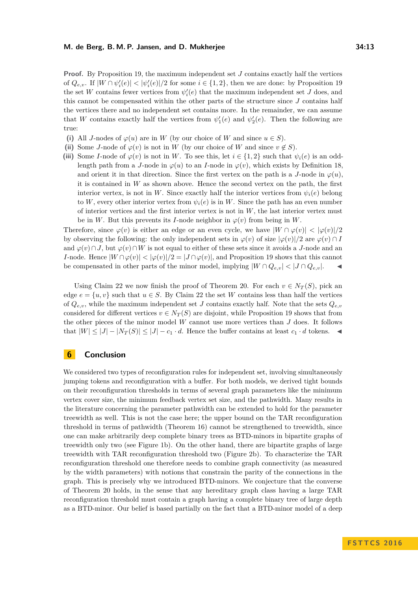**Proof.** By Proposition [19,](#page-11-0) the maximum independent set *J* contains exactly half the vertices of  $Q_{e,v}$ . If  $|W \cap \psi_i'(e)| < |\psi_i'(e)|/2$  for some  $i \in \{1,2\}$ , then we are done: by Proposition [19](#page-11-0) the set *W* contains fewer vertices from  $\psi_i'(e)$  that the maximum independent set *J* does, and this cannot be compensated within the other parts of the structure since *J* contains half the vertices there and no independent set contains more. In the remainder, we can assume that *W* contains exactly half the vertices from  $\psi_1'(e)$  and  $\psi_2'(e)$ . Then the following are true:

- (i) All *J*-nodes of  $\varphi(u)$  are in *W* (by our choice of *W* and since  $u \in S$ ).
- (ii) Some *J*-node of  $\varphi(v)$  is not in *W* (by our choice of *W* and since  $v \notin S$ ).
- (iii) Some *I*-node of  $\varphi(v)$  is not in *W*. To see this, let  $i \in \{1,2\}$  such that  $\psi_i(e)$  is an oddlength path from a *J*-node in  $\varphi(u)$  to an *I*-node in  $\varphi(v)$ , which exists by Definition 18. and orient it in that direction. Since the first vertex on the path is a *J*-node in  $\varphi(u)$ . it is contained in *W* as shown above. Hence the second vertex on the path, the first interior vertex, is not in *W*. Since exactly half the interior vertices from  $\psi_i(e)$  belong to *W*, every other interior vertex from  $\psi_i(e)$  is in *W*. Since the path has an even number of interior vertices and the first interior vertex is not in *W*, the last interior vertex must be in *W*. But this prevents its *I*-node neighbor in  $\varphi(v)$  from being in *W*.

Therefore, since  $\varphi(v)$  is either an edge or an even cycle, we have  $|W \cap \varphi(v)| < |\varphi(v)|/2$ by observing the following: the only independent sets in  $\varphi(v)$  of size  $|\varphi(v)|/2$  are  $\varphi(v) \cap I$ and  $\varphi(v) \cap J$ , but  $\varphi(v) \cap W$  is not equal to either of these sets since it avoids a *J*-node and an *I*-node. Hence  $|W \cap \varphi(v)| < |\varphi(v)|/2 = |J \cap \varphi(v)|$ , and Proposition [19](#page-11-0) shows that this cannot be compensated in other parts of the minor model, implying  $|W \cap Q_{e,v}| < |J \cap Q_{e,v}|$ .

Using Claim [22](#page-11-1) we now finish the proof of Theorem [20.](#page-11-2) For each  $v \in N_T(S)$ , pick an edge  $e = \{u, v\}$  such that  $u \in S$ . By Claim [22](#page-11-1) the set *W* contains less than half the vertices of  $Q_{e,v}$ , while the maximum independent set *J* contains exactly half. Note that the sets  $Q_{e,v}$ considered for different vertices  $v \in N_T(S)$  are disjoint, while Proposition [19](#page-11-0) shows that from the other pieces of the minor model *W* cannot use more vertices than *J* does. It follows that  $|W| \leq |J| - |N_T(S)| \leq |J| - c_1 \cdot d$ . Hence the buffer contains at least  $c_1 \cdot d$  tokens.

## <span id="page-12-0"></span>**6 Conclusion**

We considered two types of reconfiguration rules for independent set, involving simultaneously jumping tokens and reconfiguration with a buffer. For both models, we derived tight bounds on their reconfiguration thresholds in terms of several graph parameters like the minimum vertex cover size, the minimum feedback vertex set size, and the pathwidth. Many results in the literature concerning the parameter pathwidth can be extended to hold for the parameter treewidth as well. This is not the case here; the upper bound on the TAR reconfiguration threshold in terms of pathwidth (Theorem [16\)](#page-8-0) cannot be strengthened to treewidth, since one can make arbitrarily deep complete binary trees as BTD-minors in bipartite graphs of treewidth only two (see Figure [1b\)](#page-1-0). On the other hand, there are bipartite graphs of large treewidth with TAR reconfiguration threshold two (Figure [2b\)](#page-6-0). To characterize the TAR reconfiguration threshold one therefore needs to combine graph connectivity (as measured by the width parameters) with notions that constrain the parity of the connections in the graph. This is precisely why we introduced BTD-minors. We conjecture that the converse of Theorem [20](#page-11-2) holds, in the sense that any hereditary graph class having a large TAR reconfiguration threshold must contain a graph having a complete binary tree of large depth as a BTD-minor. Our belief is based partially on the fact that a BTD-minor model of a deep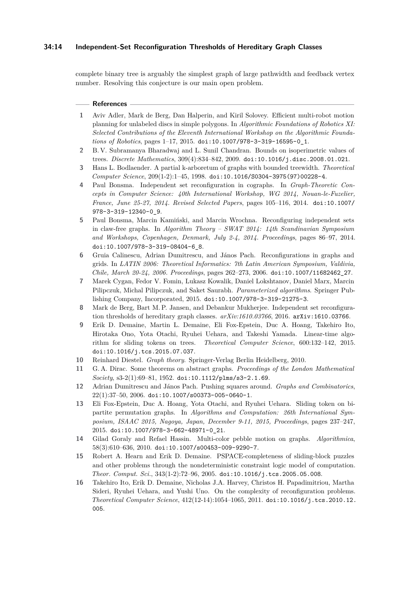## **34:14 Independent-Set Reconfiguration Thresholds of Hereditary Graph Classes**

complete binary tree is arguably the simplest graph of large pathwidth and feedback vertex number. Resolving this conjecture is our main open problem.

#### **References**

- <span id="page-13-9"></span>**1** Aviv Adler, Mark de Berg, Dan Halperin, and Kiril Solovey. Efficient multi-robot motion planning for unlabeled discs in simple polygons. In *Algorithmic Foundations of Robotics XI: Selected Contributions of the Eleventh International Workshop on the Algorithmic Foundations of Robotics*, pages 1–17, 2015. [doi:10.1007/978-3-319-16595-0\\_1](http://dx.doi.org/10.1007/978-3-319-16595-0_1).
- <span id="page-13-15"></span>**2** B. V. Subramanya Bharadwaj and L. Sunil Chandran. Bounds on isoperimetric values of trees. *Discrete Mathematics*, 309(4):834–842, 2009. [doi:10.1016/j.disc.2008.01.021](http://dx.doi.org/10.1016/j.disc.2008.01.021).
- <span id="page-13-14"></span>**3** Hans L. Bodlaender. A partial k-arboretum of graphs with bounded treewidth. *Theoretical Computer Science*, 209(1-2):1–45, 1998. [doi:10.1016/S0304-3975\(97\)00228-4](http://dx.doi.org/10.1016/S0304-3975(97)00228-4).
- <span id="page-13-0"></span>**4** Paul Bonsma. Independent set reconfiguration in cographs. In *Graph-Theoretic Concepts in Computer Science: 40th International Workshop, WG 2014, Nouan-le-Fuzelier, France, June 25-27, 2014. Revised Selected Papers*, pages 105–116, 2014. [doi:10.1007/](http://dx.doi.org/10.1007/978-3-319-12340-0_9) [978-3-319-12340-0\\_9](http://dx.doi.org/10.1007/978-3-319-12340-0_9).
- <span id="page-13-1"></span>**5** Paul Bonsma, Marcin Kamiński, and Marcin Wrochna. Reconfiguring independent sets in claw-free graphs. In *Algorithm Theory – SWAT 2014: 14th Scandinavian Symposium and Workshops, Copenhagen, Denmark, July 2-4, 2014. Proceedings*, pages 86–97, 2014. [doi:10.1007/978-3-319-08404-6\\_8](http://dx.doi.org/10.1007/978-3-319-08404-6_8).
- <span id="page-13-7"></span>**6** Gruia Calinescu, Adrian Dumitrescu, and János Pach. Reconfigurations in graphs and grids. In *LATIN 2006: Theoretical Informatics: 7th Latin American Symposium, Valdivia, Chile, March 20-24, 2006. Proceedings*, pages 262–273, 2006. [doi:10.1007/11682462\\_27](http://dx.doi.org/10.1007/11682462_27).
- <span id="page-13-10"></span>**7** Marek Cygan, Fedor V. Fomin, Lukasz Kowalik, Daniel Lokshtanov, Daniel Marx, Marcin Pilipczuk, Michal Pilipczuk, and Saket Saurabh. *Parameterized algorithms*. Springer Publishing Company, Incorporated, 2015. [doi:10.1007/978-3-319-21275-3](http://dx.doi.org/10.1007/978-3-319-21275-3).
- <span id="page-13-12"></span>**8** Mark de Berg, Bart M. P. Jansen, and Debankur Mukherjee. Independent set reconfiguration thresholds of hereditary graph classes. *arXiv:1610.03766*, 2016. [arXiv:1610.03766](http://arxiv.org/abs/1610.03766).
- <span id="page-13-2"></span>**9** Erik D. Demaine, Martin L. Demaine, Eli Fox-Epstein, Duc A. Hoang, Takehiro Ito, Hirotaka Ono, Yota Otachi, Ryuhei Uehara, and Takeshi Yamada. Linear-time algorithm for sliding tokens on trees. *Theoretical Computer Science*, 600:132–142, 2015. [doi:10.1016/j.tcs.2015.07.037](http://dx.doi.org/10.1016/j.tcs.2015.07.037).
- <span id="page-13-11"></span>**10** Reinhard Diestel. *Graph theory*. Springer-Verlag Berlin Heidelberg, 2010.
- <span id="page-13-13"></span>**11** G. A. Dirac. Some theorems on abstract graphs. *Proceedings of the London Mathematical Society*, s3-2(1):69–81, 1952. [doi:10.1112/plms/s3-2.1.69](http://dx.doi.org/10.1112/plms/s3-2.1.69).
- <span id="page-13-8"></span>**12** Adrian Dumitrescu and János Pach. Pushing squares around. *Graphs and Combinatorics*,  $22(1):37-50$ ,  $2006.$  [doi:10.1007/s00373-005-0640-1](http://dx.doi.org/10.1007/s00373-005-0640-1).
- <span id="page-13-3"></span>**13** Eli Fox-Epstein, Duc A. Hoang, Yota Otachi, and Ryuhei Uehara. Sliding token on bipartite permutation graphs. In *Algorithms and Computation: 26th International Symposium, ISAAC 2015, Nagoya, Japan, December 9-11, 2015, Proceedings*, pages 237–247, 2015. [doi:10.1007/978-3-662-48971-0\\_21](http://dx.doi.org/10.1007/978-3-662-48971-0_21).
- <span id="page-13-6"></span>**14** Gilad Goraly and Refael Hassin. Multi-color pebble motion on graphs. *Algorithmica*, 58(3):610–636, 2010. [doi:10.1007/s00453-009-9290-7](http://dx.doi.org/10.1007/s00453-009-9290-7).
- <span id="page-13-4"></span>**15** Robert A. Hearn and Erik D. Demaine. PSPACE-completeness of sliding-block puzzles and other problems through the nondeterministic constraint logic model of computation. *Theor. Comput. Sci.*, 343(1-2):72–96, 2005. [doi:10.1016/j.tcs.2005.05.008](http://dx.doi.org/10.1016/j.tcs.2005.05.008).
- <span id="page-13-5"></span>**16** Takehiro Ito, Erik D. Demaine, Nicholas J.A. Harvey, Christos H. Papadimitriou, Martha Sideri, Ryuhei Uehara, and Yushi Uno. On the complexity of reconfiguration problems. *Theoretical Computer Science*, 412(12-14):1054–1065, 2011. [doi:10.1016/j.tcs.2010.12.](http://dx.doi.org/10.1016/j.tcs.2010.12.005) [005](http://dx.doi.org/10.1016/j.tcs.2010.12.005).